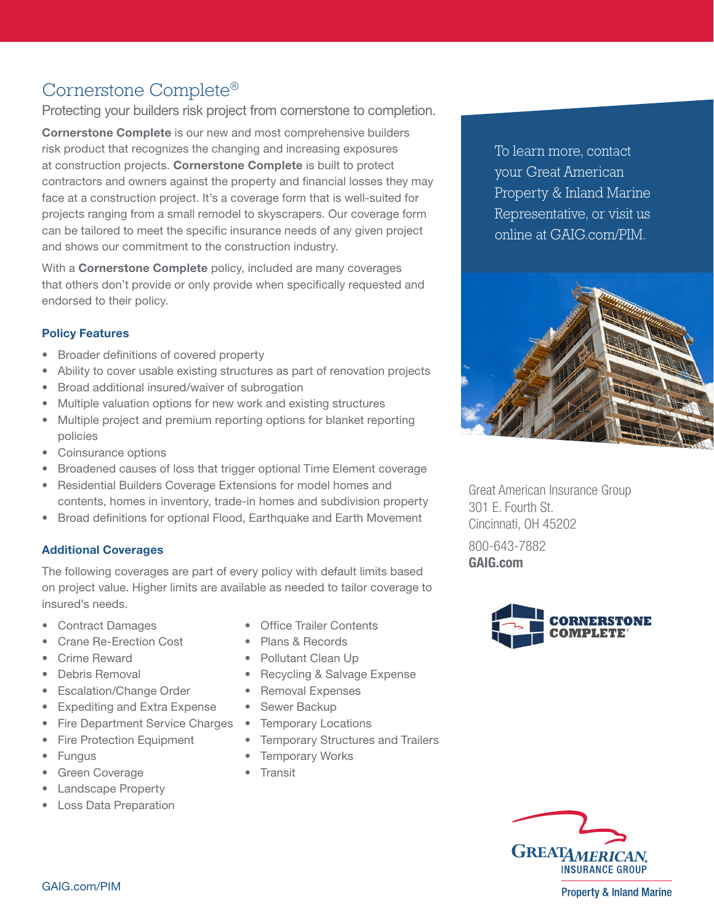# Cornerstone Complete®

Protecting your builders risk project from cornerstone to completion.

Cornerstone Complete is our new and most comprehensive builders risk product that recognizes the changing and increasing exposures at construction projects. Cornerstone Complete is built to protect contractors and owners against the property and financial losses they may face at a construction project. It's a coverage form that is well-suited for projects ranging from a small remodel to skyscrapers. Our coverage form can be tailored to meet the specific insurance needs of any given project and shows our commitment to the construction industry.

With a **Cornerstone Complete** policy, included are many coverages that others don't provide or only provide when specifically requested and endorsed to their policy.

# Policy Features

- Broader definitions of covered property
- Ability to cover usable existing structures as part of renovation projects
- Broad additional insured/waiver of subrogation
- Multiple valuation options for new work and existing structures
- Multiple project and premium reporting options for blanket reporting policies
- Coinsurance options
- Broadened causes of loss that trigger optional Time Element coverage
- Residential Builders Coverage Extensions for model homes and contents, homes in inventory, trade-in homes and subdivision property
- Broad definitions for optional Flood, Earthquake and Earth Movement

# Additional Coverages

The following coverages are part of every policy with default limits based on project value. Higher limits are available as needed to tailor coverage to insured's needs.

- Contract Damages
- Crane Re-Erection Cost
- Crime Reward
- Debris Removal
- Escalation/Change Order
- Expediting and Extra Expense
- Fire Department Service Charges
- Fire Protection Equipment
- Fungus
- Green Coverage
- Landscape Property
- Loss Data Preparation
- Office Trailer Contents
- Plans & Records
- Pollutant Clean Up
- Recycling & Salvage Expense
- Removal Expenses
- Sewer Backup
- Temporary Locations
- Temporary Structures and Trailers
- Temporary Works
- Transit

To learn more, contact your Great American Property & Inland Marine Representative, or visit us online at GAIG.com/PIM.



Great American Insurance Group 301 E. Fourth St. Cincinnati, OH 45202 800-643-7882 GAIG.com





**Property & Inland Marine**